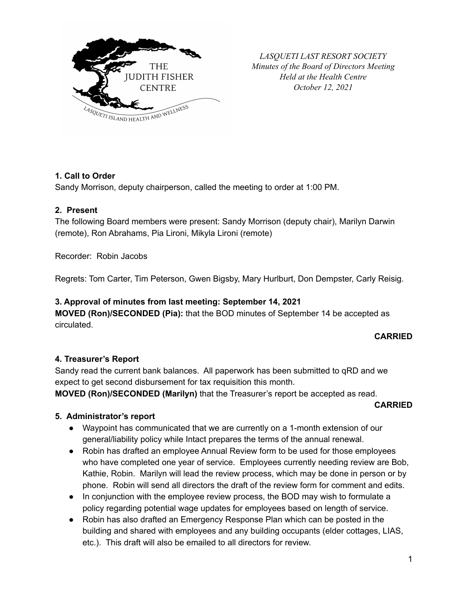

*LASQUETI LAST RESORT SOCIETY Minutes of the Board of Directors Meeting Held at the Health Centre October 12, 2021*

# **1. Call to Order**

Sandy Morrison, deputy chairperson, called the meeting to order at 1:00 PM.

#### **2. Present**

The following Board members were present: Sandy Morrison (deputy chair), Marilyn Darwin (remote), Ron Abrahams, Pia Lironi, Mikyla Lironi (remote)

Recorder: Robin Jacobs

Regrets: Tom Carter, Tim Peterson, Gwen Bigsby, Mary Hurlburt, Don Dempster, Carly Reisig.

#### **3. Approval of minutes from last meeting: September 14, 2021**

**MOVED (Ron)/SECONDED (Pia):** that the BOD minutes of September 14 be accepted as circulated.

#### **CARRIED**

## **4. Treasurer's Report**

Sandy read the current bank balances. All paperwork has been submitted to qRD and we expect to get second disbursement for tax requisition this month.

**MOVED (Ron)/SECONDED (Marilyn)** that the Treasurer's report be accepted as read.

#### **CARRIED**

## **5. Administrator's report**

- Waypoint has communicated that we are currently on a 1-month extension of our general/liability policy while Intact prepares the terms of the annual renewal.
- Robin has drafted an employee Annual Review form to be used for those employees who have completed one year of service. Employees currently needing review are Bob, Kathie, Robin. Marilyn will lead the review process, which may be done in person or by phone. Robin will send all directors the draft of the review form for comment and edits.
- In conjunction with the employee review process, the BOD may wish to formulate a policy regarding potential wage updates for employees based on length of service.
- Robin has also drafted an Emergency Response Plan which can be posted in the building and shared with employees and any building occupants (elder cottages, LIAS, etc.). This draft will also be emailed to all directors for review.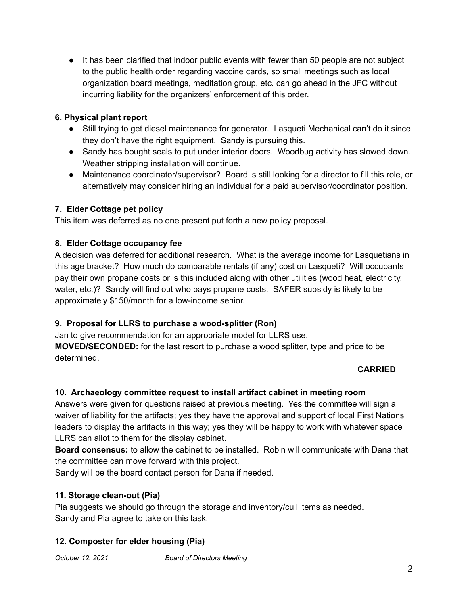● It has been clarified that indoor public events with fewer than 50 people are not subject to the public health order regarding vaccine cards, so small meetings such as local organization board meetings, meditation group, etc. can go ahead in the JFC without incurring liability for the organizers' enforcement of this order.

# **6. Physical plant report**

- Still trying to get diesel maintenance for generator. Lasqueti Mechanical can't do it since they don't have the right equipment. Sandy is pursuing this.
- Sandy has bought seals to put under interior doors. Woodbug activity has slowed down. Weather stripping installation will continue.
- Maintenance coordinator/supervisor? Board is still looking for a director to fill this role, or alternatively may consider hiring an individual for a paid supervisor/coordinator position.

# **7. Elder Cottage pet policy**

This item was deferred as no one present put forth a new policy proposal.

# **8. Elder Cottage occupancy fee**

A decision was deferred for additional research. What is the average income for Lasquetians in this age bracket? How much do comparable rentals (if any) cost on Lasqueti? Will occupants pay their own propane costs or is this included along with other utilities (wood heat, electricity, water, etc.)? Sandy will find out who pays propane costs. SAFER subsidy is likely to be approximately \$150/month for a low-income senior.

## **9. Proposal for LLRS to purchase a wood-splitter (Ron)**

Jan to give recommendation for an appropriate model for LLRS use. **MOVED/SECONDED:** for the last resort to purchase a wood splitter, type and price to be determined.

## **CARRIED**

## **10. Archaeology committee request to install artifact cabinet in meeting room**

Answers were given for questions raised at previous meeting. Yes the committee will sign a waiver of liability for the artifacts; yes they have the approval and support of local First Nations leaders to display the artifacts in this way; yes they will be happy to work with whatever space LLRS can allot to them for the display cabinet.

**Board consensus:** to allow the cabinet to be installed. Robin will communicate with Dana that the committee can move forward with this project.

Sandy will be the board contact person for Dana if needed.

## **11. Storage clean-out (Pia)**

Pia suggests we should go through the storage and inventory/cull items as needed. Sandy and Pia agree to take on this task.

# **12. Composter for elder housing (Pia)**